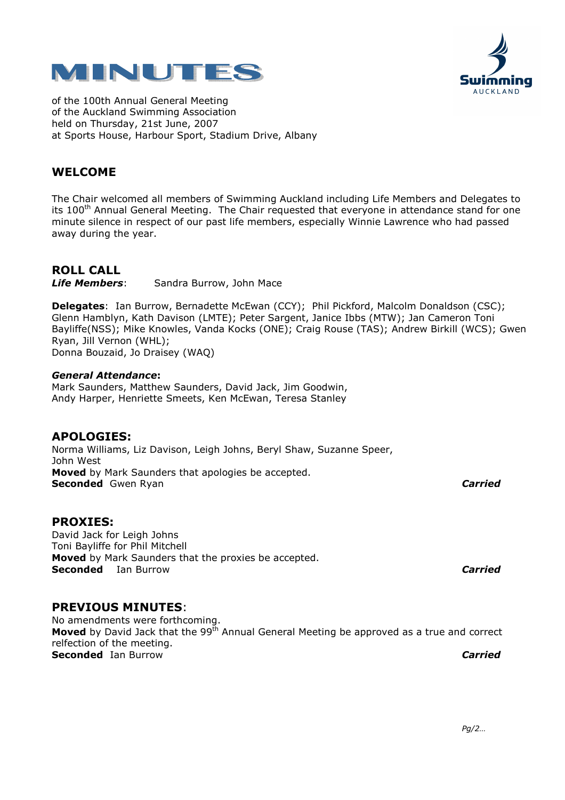



of the 100th Annual General Meeting of the Auckland Swimming Association held on Thursday, 21st June, 2007 at Sports House, Harbour Sport, Stadium Drive, Albany

# WELCOME

The Chair welcomed all members of Swimming Auckland including Life Members and Delegates to its 100<sup>th</sup> Annual General Meeting. The Chair requested that everyone in attendance stand for one minute silence in respect of our past life members, especially Winnie Lawrence who had passed away during the year.

# ROLL CALL

Life Members: Sandra Burrow, John Mace

Delegates: Ian Burrow, Bernadette McEwan (CCY); Phil Pickford, Malcolm Donaldson (CSC); Glenn Hamblyn, Kath Davison (LMTE); Peter Sargent, Janice Ibbs (MTW); Jan Cameron Toni Bayliffe(NSS); Mike Knowles, Vanda Kocks (ONE); Craig Rouse (TAS); Andrew Birkill (WCS); Gwen Ryan, Jill Vernon (WHL); Donna Bouzaid, Jo Draisey (WAQ)

#### General Attendance:

Mark Saunders, Matthew Saunders, David Jack, Jim Goodwin, Andy Harper, Henriette Smeets, Ken McEwan, Teresa Stanley

# APOLOGIES:

Norma Williams, Liz Davison, Leigh Johns, Beryl Shaw, Suzanne Speer, John West Moved by Mark Saunders that apologies be accepted. Seconded Gwen Ryan Carried Carried Carried Carried Carried Carried Carried Carried Carried Carried Carried Carried Carried Carried Carried Carried Carried Carried Carried Carried Carried Carried Carried Carried Carried Car

# PROXIES:

David Jack for Leigh Johns Toni Bayliffe for Phil Mitchell **Moved** by Mark Saunders that the proxies be accepted. Seconded Ian Burrow Carried Carried Carried Carried Carried Carried Carried Carried Carried Carried Carried Carried Carried Carried Carried Carried Carried Carried Carried Carried Carried Carried Carried Carried Carried Ca

# PREVIOUS MINUTES:

No amendments were forthcoming. **Moved** by David Jack that the 99 $^{\bar{t}h}$  Annual General Meeting be approved as a true and correct relfection of the meeting. Seconded Ian Burrow **Carried** Carried Carried Carried Carried Carried Carried Carried Carried Carried Carried Carried Carried Carried Carried Carried Carried Carried Carried Carried Carried Carried Carried Carried Carried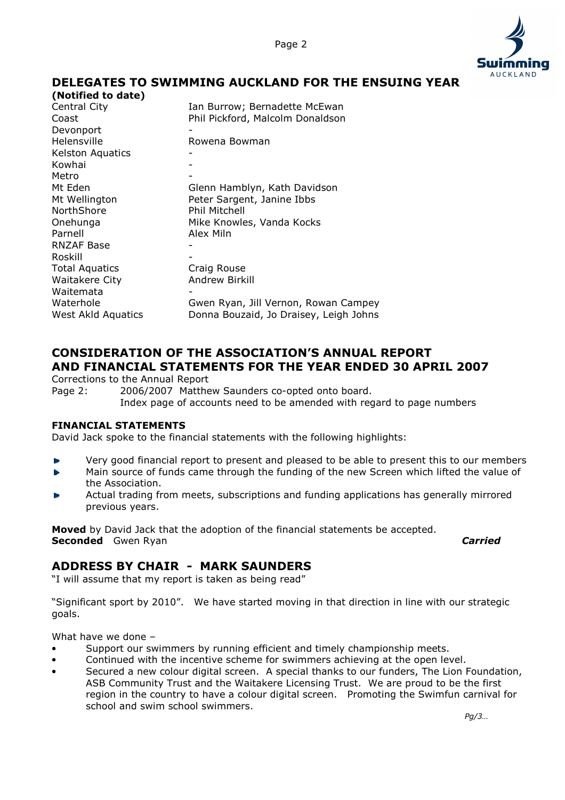

# DELEGATES TO SWIMMING AUCKLAND FOR THE ENSUING YEAR

| (Notified to date)      |                                        |
|-------------------------|----------------------------------------|
| Central City            | Ian Burrow; Bernadette McEwan          |
| Coast                   | Phil Pickford, Malcolm Donaldson       |
| Devonport               |                                        |
| Helensville             | Rowena Bowman                          |
| <b>Kelston Aquatics</b> |                                        |
| Kowhai                  |                                        |
| Metro                   |                                        |
| Mt Eden                 | Glenn Hamblyn, Kath Davidson           |
| Mt Wellington           | Peter Sargent, Janine Ibbs             |
| NorthShore              | Phil Mitchell                          |
| Onehunga                | Mike Knowles, Vanda Kocks              |
| Parnell                 | Alex Miln                              |
| <b>RNZAF Base</b>       |                                        |
| Roskill                 |                                        |
| <b>Total Aquatics</b>   | Craig Rouse                            |
| <b>Waitakere City</b>   | <b>Andrew Birkill</b>                  |
| Waitemata               |                                        |
| Waterhole               | Gwen Ryan, Jill Vernon, Rowan Campey   |
| West Akld Aquatics      | Donna Bouzaid, Jo Draisey, Leigh Johns |
|                         |                                        |

# CONSIDERATION OF THE ASSOCIATION'S ANNUAL REPORT AND FINANCIAL STATEMENTS FOR THE YEAR ENDED 30 APRIL 2007

Corrections to the Annual Report

Page 2: 2006/2007 Matthew Saunders co-opted onto board. Index page of accounts need to be amended with regard to page numbers

#### FINANCIAL STATEMENTS

David Jack spoke to the financial statements with the following highlights:

- Very good financial report to present and pleased to be able to present this to our members
- Main source of funds came through the funding of the new Screen which lifted the value of ĥ. the Association.
- Actual trading from meets, subscriptions and funding applications has generally mirrored previous years.

Moved by David Jack that the adoption of the financial statements be accepted. Seconded Gwen Ryan Carried Carried Carried Carried Carried Carried Carried Carried Carried Carried Carried Carried Carried Carried Carried Carried Carried Carried Carried Carried Carried Carried Carried Carried Carried Car

# ADDRESS BY CHAIR - MARK SAUNDERS

"I will assume that my report is taken as being read"

"Significant sport by 2010". We have started moving in that direction in line with our strategic goals.

What have we done –

- Support our swimmers by running efficient and timely championship meets.
- Continued with the incentive scheme for swimmers achieving at the open level.
- Secured a new colour digital screen. A special thanks to our funders, The Lion Foundation, ASB Community Trust and the Waitakere Licensing Trust. We are proud to be the first region in the country to have a colour digital screen. Promoting the Swimfun carnival for school and swim school swimmers.

 $Pg/3...$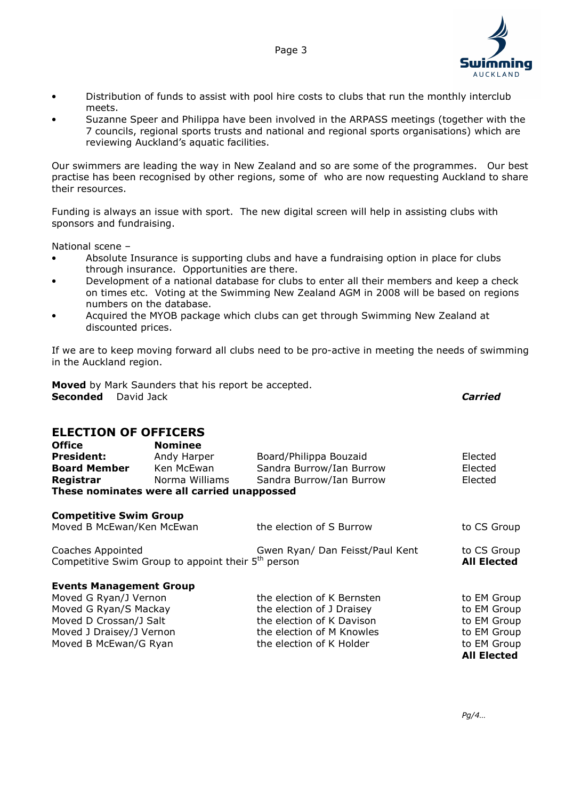

- Distribution of funds to assist with pool hire costs to clubs that run the monthly interclub meets.
- Suzanne Speer and Philippa have been involved in the ARPASS meetings (together with the 7 councils, regional sports trusts and national and regional sports organisations) which are reviewing Auckland's aquatic facilities.

Our swimmers are leading the way in New Zealand and so are some of the programmes. Our best practise has been recognised by other regions, some of who are now requesting Auckland to share their resources.

Funding is always an issue with sport. The new digital screen will help in assisting clubs with sponsors and fundraising.

National scene –

- Absolute Insurance is supporting clubs and have a fundraising option in place for clubs through insurance. Opportunities are there.
- Development of a national database for clubs to enter all their members and keep a check on times etc. Voting at the Swimming New Zealand AGM in 2008 will be based on regions numbers on the database.
- Acquired the MYOB package which clubs can get through Swimming New Zealand at discounted prices.

If we are to keep moving forward all clubs need to be pro-active in meeting the needs of swimming in the Auckland region.

Moved by Mark Saunders that his report be accepted. Seconded David Jack **Carried Carried Carried** 

## ELECTION OF OFFICERS

| <b>Office</b>                                                  | <b>Nominee</b>                              |                                 |                    |
|----------------------------------------------------------------|---------------------------------------------|---------------------------------|--------------------|
| <b>President:</b>                                              | Andy Harper                                 | Board/Philippa Bouzaid          | Elected            |
| <b>Board Member</b>                                            | Ken McEwan                                  | Sandra Burrow/Ian Burrow        | Elected            |
| Registrar                                                      | Norma Williams                              | Sandra Burrow/Ian Burrow        | Elected            |
|                                                                | These nominates were all carried unappossed |                                 |                    |
| <b>Competitive Swim Group</b>                                  |                                             |                                 |                    |
| Moved B McEwan/Ken McEwan                                      |                                             | the election of S Burrow        | to CS Group        |
| Coaches Appointed                                              |                                             | Gwen Ryan/ Dan Feisst/Paul Kent | to CS Group        |
| Competitive Swim Group to appoint their 5 <sup>th</sup> person |                                             |                                 | <b>All Elected</b> |
| <b>Events Management Group</b>                                 |                                             |                                 |                    |
| Moved G Ryan/J Vernon                                          |                                             | the election of K Bernsten      | to EM Group        |
| Moved G Ryan/S Mackay                                          |                                             | the election of J Draisey       | to EM Group        |
| Moved D Crossan/J Salt                                         |                                             | the election of K Davison       | to EM Group        |
| Moved J Draisey/J Vernon                                       |                                             | the election of M Knowles       | to EM Group        |
| Moved B McEwan/G Ryan                                          |                                             | the election of K Holder        | to EM Group        |
|                                                                |                                             |                                 | <b>All Elected</b> |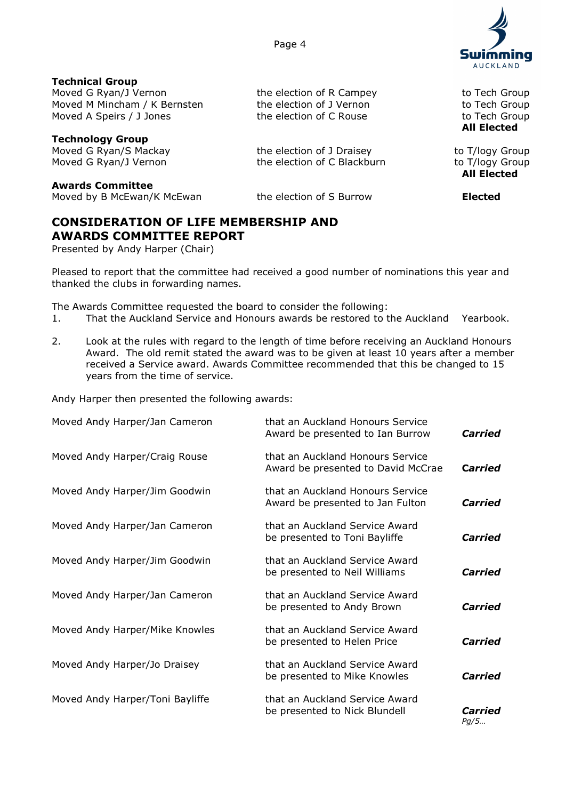**AUCKLAND** 

Technical Group Moved G Ryan/J Vernon The election of R Campey The to Tech Group Moved M Mincham / K Bernsten the election of J Vernon the to Tech Group Moved A Speirs / J Jones the election of C Rouse to Tech Group

Technology Group Moved G Ryan/S Mackay the election of J Draisey to T/logy Group Moved G Ryan/J Vernon the election of C Blackburn to T/logy Group

Awards Committee Moved by B McEwan/K McEwan the election of S Burrow **Elected** 

# CONSIDERATION OF LIFE MEMBERSHIP AND AWARDS COMMITTEE REPORT

Presented by Andy Harper (Chair)

Pleased to report that the committee had received a good number of nominations this year and thanked the clubs in forwarding names.

All Elected

All Elected

The Awards Committee requested the board to consider the following:

- 1. That the Auckland Service and Honours awards be restored to the Auckland Yearbook.
- 2. Look at the rules with regard to the length of time before receiving an Auckland Honours Award. The old remit stated the award was to be given at least 10 years after a member received a Service award. Awards Committee recommended that this be changed to 15 years from the time of service.

Andy Harper then presented the following awards:

| Moved Andy Harper/Jan Cameron   | that an Auckland Honours Service<br>Award be presented to Ian Burrow   | Carried         |
|---------------------------------|------------------------------------------------------------------------|-----------------|
| Moved Andy Harper/Craig Rouse   | that an Auckland Honours Service<br>Award be presented to David McCrae | Carried         |
| Moved Andy Harper/Jim Goodwin   | that an Auckland Honours Service<br>Award be presented to Jan Fulton   | Carried         |
| Moved Andy Harper/Jan Cameron   | that an Auckland Service Award<br>be presented to Toni Bayliffe        | Carried         |
| Moved Andy Harper/Jim Goodwin   | that an Auckland Service Award<br>be presented to Neil Williams        | Carried         |
| Moved Andy Harper/Jan Cameron   | that an Auckland Service Award<br>be presented to Andy Brown           | Carried         |
| Moved Andy Harper/Mike Knowles  | that an Auckland Service Award<br>be presented to Helen Price          | Carried         |
| Moved Andy Harper/Jo Draisey    | that an Auckland Service Award<br>be presented to Mike Knowles         | Carried         |
| Moved Andy Harper/Toni Bayliffe | that an Auckland Service Award<br>be presented to Nick Blundell        | Carried<br>Pq/5 |

Page 4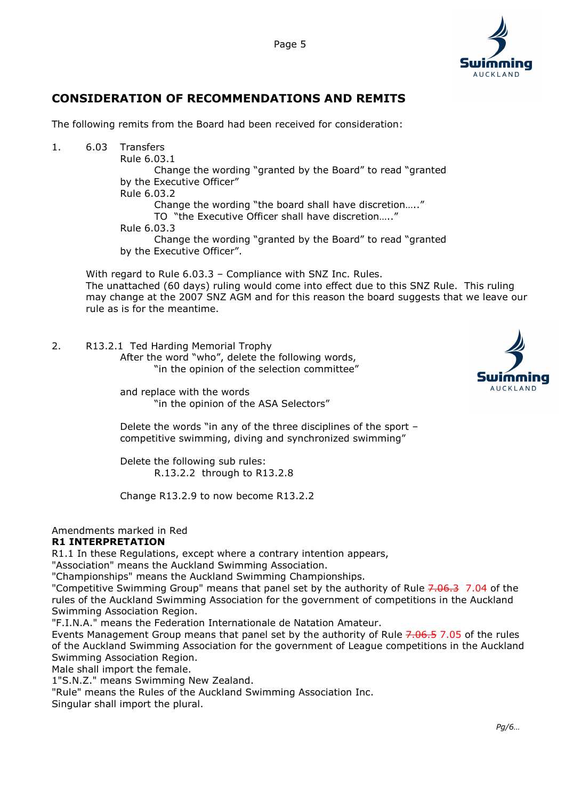



# CONSIDERATION OF RECOMMENDATIONS AND REMITS

The following remits from the Board had been received for consideration:

1. 6.03 Transfers Rule 6.03.1 Change the wording "granted by the Board" to read "granted by the Executive Officer" Rule 6.03.2 Change the wording "the board shall have discretion….." TO "the Executive Officer shall have discretion….." Rule 6.03.3 Change the wording "granted by the Board" to read "granted by the Executive Officer".

With regard to Rule 6.03.3 - Compliance with SNZ Inc. Rules. The unattached (60 days) ruling would come into effect due to this SNZ Rule. This ruling may change at the 2007 SNZ AGM and for this reason the board suggests that we leave our rule as is for the meantime.

2. R13.2.1 Ted Harding Memorial Trophy After the word "who", delete the following words, "in the opinion of the selection committee"



 and replace with the words "in the opinion of the ASA Selectors"

 Delete the words "in any of the three disciplines of the sport – competitive swimming, diving and synchronized swimming"

 Delete the following sub rules: R.13.2.2 through to R13.2.8

Change R13.2.9 to now become R13.2.2

#### Amendments marked in Red R1 INTERPRETATION

R1.1 In these Regulations, except where a contrary intention appears,

"Association" means the Auckland Swimming Association.

"Championships" means the Auckland Swimming Championships.

"Competitive Swimming Group" means that panel set by the authority of Rule 7.06.3 7.04 of the rules of the Auckland Swimming Association for the government of competitions in the Auckland Swimming Association Region.

"F.I.N.A." means the Federation Internationale de Natation Amateur.

Events Management Group means that panel set by the authority of Rule 7.06.5 7.05 of the rules of the Auckland Swimming Association for the government of League competitions in the Auckland Swimming Association Region.

Male shall import the female.

1"S.N.Z." means Swimming New Zealand.

"Rule" means the Rules of the Auckland Swimming Association Inc.

Singular shall import the plural.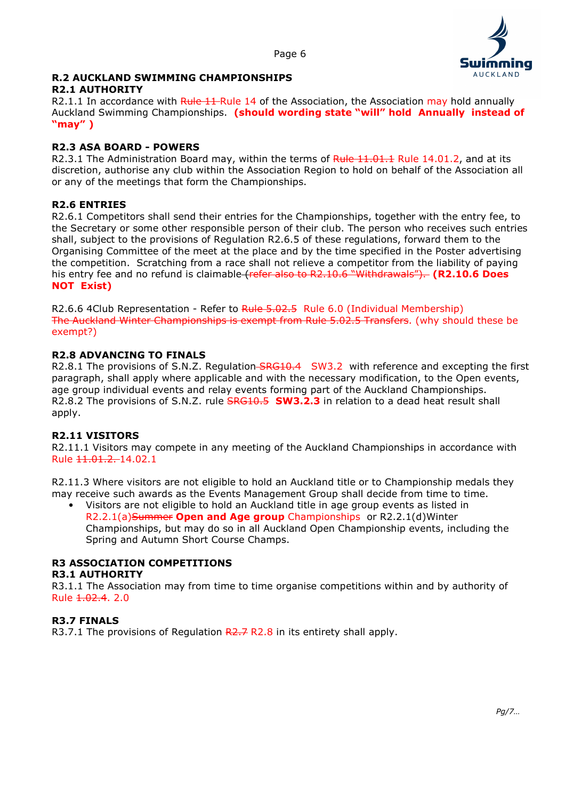

# R.2 AUCKLAND SWIMMING CHAMPIONSHIPS

#### R2.1 AUTHORITY

R2.1.1 In accordance with Rule 11-Rule 14 of the Association, the Association may hold annually Auckland Swimming Championships. (should wording state "will" hold Annually instead of "may" )

## R2.3 ASA BOARD - POWERS

R2.3.1 The Administration Board may, within the terms of Rule 11.01.1 Rule 14.01.2, and at its discretion, authorise any club within the Association Region to hold on behalf of the Association all or any of the meetings that form the Championships.

#### R2.6 ENTRIES

R2.6.1 Competitors shall send their entries for the Championships, together with the entry fee, to the Secretary or some other responsible person of their club. The person who receives such entries shall, subject to the provisions of Regulation R2.6.5 of these regulations, forward them to the Organising Committee of the meet at the place and by the time specified in the Poster advertising the competition. Scratching from a race shall not relieve a competitor from the liability of paying his entry fee and no refund is claimable (refer also to R2.10.6 "Withdrawals"). (R2.10.6 Does NOT Exist)

R2.6.6 4Club Representation - Refer to Rule 5.02.5 Rule 6.0 (Individual Membership) The Auckland Winter Championships is exempt from Rule 5.02.5 Transfers. (why should these be exempt?)

#### R2.8 ADVANCING TO FINALS

R2.8.1 The provisions of S.N.Z. Regulation SRG10.4 SW3.2 with reference and excepting the first paragraph, shall apply where applicable and with the necessary modification, to the Open events, age group individual events and relay events forming part of the Auckland Championships. R2.8.2 The provisions of S.N.Z. rule SRG10.5 SW3.2.3 in relation to a dead heat result shall apply.

#### R2.11 VISITORS

R2.11.1 Visitors may compete in any meeting of the Auckland Championships in accordance with Rule 11.01.2. 14.02.1

R2.11.3 Where visitors are not eligible to hold an Auckland title or to Championship medals they may receive such awards as the Events Management Group shall decide from time to time.

• Visitors are not eligible to hold an Auckland title in age group events as listed in R2.2.1(a)Summer Open and Age group Championships or R2.2.1(d) Winter Championships, but may do so in all Auckland Open Championship events, including the Spring and Autumn Short Course Champs.

#### R3 ASSOCIATION COMPETITIONS

#### R3.1 AUTHORITY

R3.1.1 The Association may from time to time organise competitions within and by authority of Rule 1.02.4. 2.0

#### R3.7 FINALS

R3.7.1 The provisions of Regulation  $R2.7 R2.8$  in its entirety shall apply.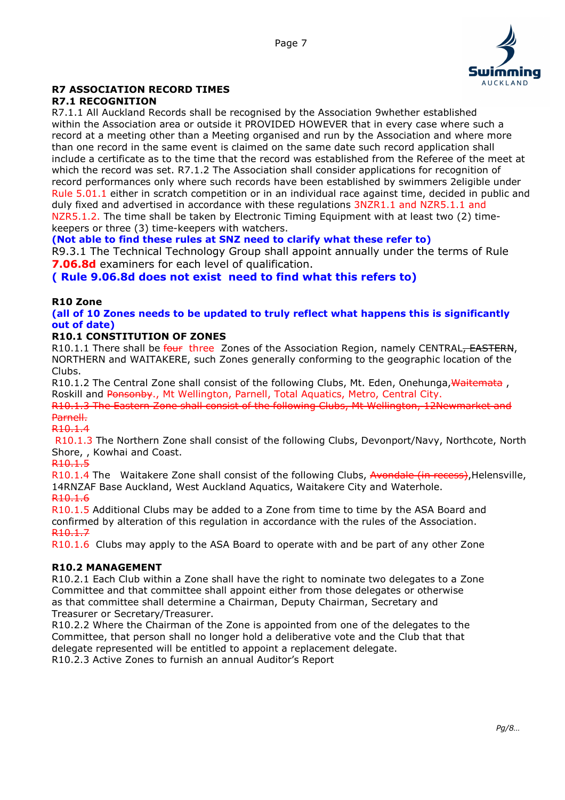

# R7 ASSOCIATION RECORD TIMES

# R7.1 RECOGNITION

R7.1.1 All Auckland Records shall be recognised by the Association 9whether established within the Association area or outside it PROVIDED HOWEVER that in every case where such a record at a meeting other than a Meeting organised and run by the Association and where more than one record in the same event is claimed on the same date such record application shall include a certificate as to the time that the record was established from the Referee of the meet at which the record was set. R7.1.2 The Association shall consider applications for recognition of record performances only where such records have been established by swimmers 2eligible under Rule 5.01.1 either in scratch competition or in an individual race against time, decided in public and duly fixed and advertised in accordance with these regulations 3NZR1.1 and NZR5.1.1 and NZR5.1.2. The time shall be taken by Electronic Timing Equipment with at least two (2) timekeepers or three (3) time-keepers with watchers.

## (Not able to find these rules at SNZ need to clarify what these refer to)

R9.3.1 The Technical Technology Group shall appoint annually under the terms of Rule **7.06.8d** examiners for each level of qualification.

# ( Rule 9.06.8d does not exist need to find what this refers to)

#### R10 Zone

#### (all of 10 Zones needs to be updated to truly reflect what happens this is significantly out of date)

## R10.1 CONSTITUTION OF ZONES

R10.1.1 There shall be four three Zones of the Association Region, namely CENTRAL, EASTERN, NORTHERN and WAITAKERE, such Zones generally conforming to the geographic location of the Clubs.

R10.1.2 The Central Zone shall consist of the following Clubs, Mt. Eden, Onehunga, Waitemata, Roskill and Ponsonby., Mt Wellington, Parnell, Total Aquatics, Metro, Central City.

R10.1.3 The Eastern Zone shall consist of the following Clubs, Mt Wellington, 12Newmarket and Parnell.

#### R10.1.4

 R10.1.3 The Northern Zone shall consist of the following Clubs, Devonport/Navy, Northcote, North Shore, , Kowhai and Coast.

R10.1.5

R10.1.4 The Waitakere Zone shall consist of the following Clubs, Avondale (in recess), Helensville, 14RNZAF Base Auckland, West Auckland Aquatics, Waitakere City and Waterhole. R10.1.6

R10.1.5 Additional Clubs may be added to a Zone from time to time by the ASA Board and confirmed by alteration of this regulation in accordance with the rules of the Association. R10.1.7

R10.1.6 Clubs may apply to the ASA Board to operate with and be part of any other Zone

# R10.2 MANAGEMENT

R10.2.1 Each Club within a Zone shall have the right to nominate two delegates to a Zone Committee and that committee shall appoint either from those delegates or otherwise as that committee shall determine a Chairman, Deputy Chairman, Secretary and Treasurer or Secretary/Treasurer.

R10.2.2 Where the Chairman of the Zone is appointed from one of the delegates to the Committee, that person shall no longer hold a deliberative vote and the Club that that delegate represented will be entitled to appoint a replacement delegate. R10.2.3 Active Zones to furnish an annual Auditor's Report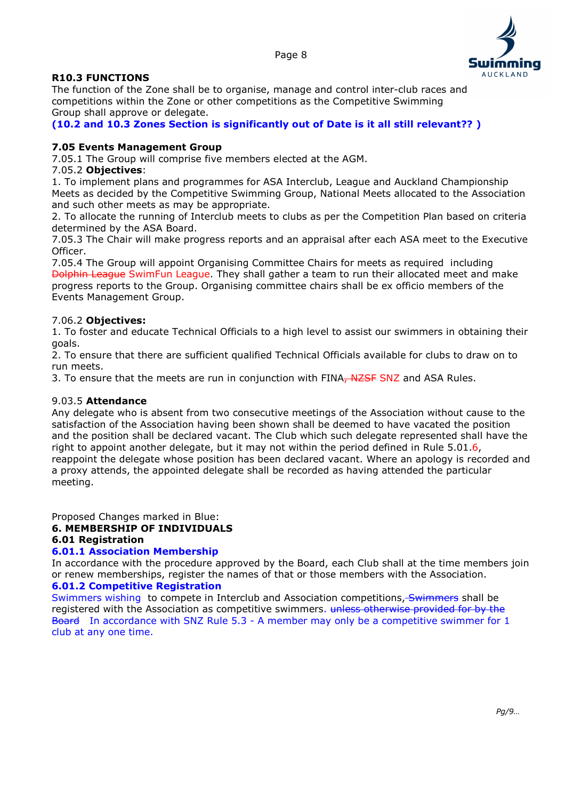

#### R10.3 FUNCTIONS

The function of the Zone shall be to organise, manage and control inter-club races and competitions within the Zone or other competitions as the Competitive Swimming Group shall approve or delegate.

(10.2 and 10.3 Zones Section is significantly out of Date is it all still relevant?? )

#### 7.05 Events Management Group

7.05.1 The Group will comprise five members elected at the AGM.

#### 7.05.2 Objectives:

1. To implement plans and programmes for ASA Interclub, League and Auckland Championship Meets as decided by the Competitive Swimming Group, National Meets allocated to the Association and such other meets as may be appropriate.

2. To allocate the running of Interclub meets to clubs as per the Competition Plan based on criteria determined by the ASA Board.

7.05.3 The Chair will make progress reports and an appraisal after each ASA meet to the Executive Officer.

7.05.4 The Group will appoint Organising Committee Chairs for meets as required including Dolphin League SwimFun League. They shall gather a team to run their allocated meet and make progress reports to the Group. Organising committee chairs shall be ex officio members of the Events Management Group.

#### 7.06.2 Objectives:

1. To foster and educate Technical Officials to a high level to assist our swimmers in obtaining their goals.

2. To ensure that there are sufficient qualified Technical Officials available for clubs to draw on to run meets.

3. To ensure that the meets are run in conjunction with FINA, NZSF SNZ and ASA Rules.

#### 9.03.5 Attendance

Any delegate who is absent from two consecutive meetings of the Association without cause to the satisfaction of the Association having been shown shall be deemed to have vacated the position and the position shall be declared vacant. The Club which such delegate represented shall have the right to appoint another delegate, but it may not within the period defined in Rule 5.01.6, reappoint the delegate whose position has been declared vacant. Where an apology is recorded and a proxy attends, the appointed delegate shall be recorded as having attended the particular meeting.

Proposed Changes marked in Blue:

#### 6. MEMBERSHIP OF INDIVIDUALS

#### 6.01 Registration

#### 6.01.1 Association Membership

In accordance with the procedure approved by the Board, each Club shall at the time members join or renew memberships, register the names of that or those members with the Association. 6.01.2 Competitive Registration

Swimmers wishing to compete in Interclub and Association competitions, Swimmers shall be registered with the Association as competitive swimmers. unless otherwise provided for by the Board In accordance with SNZ Rule 5.3 - A member may only be a competitive swimmer for 1 club at any one time.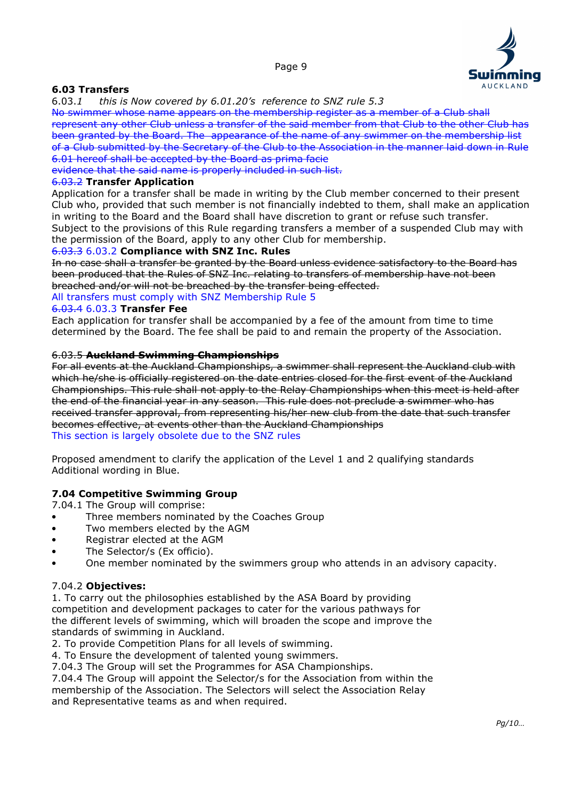

## 6.03 Transfers

6.03.1 this is Now covered by 6.01.20's reference to SNZ rule 5.3

No swimmer whose name appears on the membership register as a member of a Club shall represent any other Club unless a transfer of the said member from that Club to the other Club has been granted by the Board. The appearance of the name of any swimmer on the membership list of a Club submitted by the Secretary of the Club to the Association in the manner laid down in Rule 6.01 hereof shall be accepted by the Board as prima facie

evidence that the said name is properly included in such list.

#### 6.03.2 Transfer Application

Application for a transfer shall be made in writing by the Club member concerned to their present Club who, provided that such member is not financially indebted to them, shall make an application in writing to the Board and the Board shall have discretion to grant or refuse such transfer. Subject to the provisions of this Rule regarding transfers a member of a suspended Club may with the permission of the Board, apply to any other Club for membership.

#### 6.03.3 6.03.2 Compliance with SNZ Inc. Rules

In no case shall a transfer be granted by the Board unless evidence satisfactory to the Board has been produced that the Rules of SNZ Inc. relating to transfers of membership have not been breached and/or will not be breached by the transfer being effected.

All transfers must comply with SNZ Membership Rule 5

#### 6.03.4 6.03.3 Transfer Fee

Each application for transfer shall be accompanied by a fee of the amount from time to time determined by the Board. The fee shall be paid to and remain the property of the Association.

#### 6.03.5 Auckland Swimming Championships

For all events at the Auckland Championships, a swimmer shall represent the Auckland club with which he/she is officially registered on the date entries closed for the first event of the Auckland Championships. This rule shall not apply to the Relay Championships when this meet is held after the end of the financial year in any season. This rule does not preclude a swimmer who has received transfer approval, from representing his/her new club from the date that such transfer becomes effective, at events other than the Auckland Championships This section is largely obsolete due to the SNZ rules

Proposed amendment to clarify the application of the Level 1 and 2 qualifying standards Additional wording in Blue.

#### 7.04 Competitive Swimming Group

7.04.1 The Group will comprise:

- Three members nominated by the Coaches Group
- Two members elected by the AGM
- Registrar elected at the AGM
- The Selector/s (Ex officio).
- One member nominated by the swimmers group who attends in an advisory capacity.

#### 7.04.2 Objectives:

1. To carry out the philosophies established by the ASA Board by providing competition and development packages to cater for the various pathways for the different levels of swimming, which will broaden the scope and improve the standards of swimming in Auckland.

2. To provide Competition Plans for all levels of swimming.

4. To Ensure the development of talented young swimmers.

7.04.3 The Group will set the Programmes for ASA Championships.

7.04.4 The Group will appoint the Selector/s for the Association from within the membership of the Association. The Selectors will select the Association Relay

and Representative teams as and when required.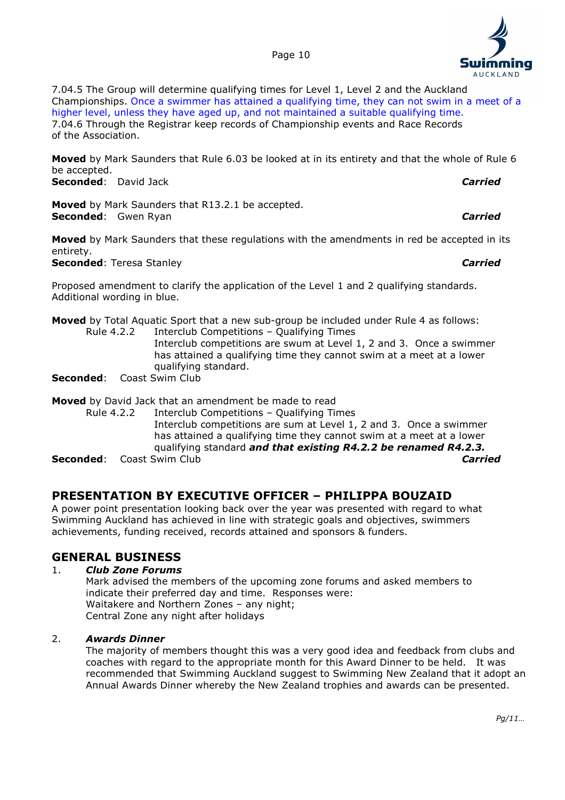

7.04.5 The Group will determine qualifying times for Level 1, Level 2 and the Auckland Championships. Once a swimmer has attained a qualifying time, they can not swim in a meet of a higher level, unless they have aged up, and not maintained a suitable qualifying time. 7.04.6 Through the Registrar keep records of Championship events and Race Records of the Association.

**Moved** by Mark Saunders that Rule 6.03 be looked at in its entirety and that the whole of Rule 6 be accepted.

Seconded: David Jack **Carried:** Carried: Carried: Carried: Carried: Carried: Carried: Carried: Carried: Carried: Carried: Carried: Carried: Carried: Carried: Carried: Carried: Carried: Carried: Carried: Carried: Carried: C

Moved by Mark Saunders that R13.2.1 be accepted. Seconded: Gwen Ryan Carried: Carried Carried Carried Carried Carried Carried Carried Carried Carried Carried Carried Carried Carried Carried Carried Carried Carried Carried Carried Carried Carried Carried Carried Carried C

Moved by Mark Saunders that these regulations with the amendments in red be accepted in its entirety.

Seconded: Teresa Stanley Carried Carried Carried

Proposed amendment to clarify the application of the Level 1 and 2 qualifying standards. Additional wording in blue.

Moved by Total Aquatic Sport that a new sub-group be included under Rule 4 as follows: Rule 4.2.2 Interclub Competitions – Qualifying Times

 Interclub competitions are swum at Level 1, 2 and 3. Once a swimmer has attained a qualifying time they cannot swim at a meet at a lower qualifying standard.

Seconded: Coast Swim Club

## Moved by David Jack that an amendment be made to read

 Rule 4.2.2 Interclub Competitions – Qualifying Times Interclub competitions are sum at Level 1, 2 and 3. Once a swimmer has attained a qualifying time they cannot swim at a meet at a lower qualifying standard *and that existing R4.2.2 be renamed R4.2.3.* **Seconded:** Coast Swim Club **Carried:** Coast Swim Club Carried Carried: Carried

# PRESENTATION BY EXECUTIVE OFFICER – PHILIPPA BOUZAID

A power point presentation looking back over the year was presented with regard to what Swimming Auckland has achieved in line with strategic goals and objectives, swimmers achievements, funding received, records attained and sponsors & funders.

# GENERAL BUSINESS

#### 1. Club Zone Forums

 Mark advised the members of the upcoming zone forums and asked members to indicate their preferred day and time. Responses were: Waitakere and Northern Zones – any night; Central Zone any night after holidays

#### 2. Awards Dinner

 The majority of members thought this was a very good idea and feedback from clubs and coaches with regard to the appropriate month for this Award Dinner to be held. It was recommended that Swimming Auckland suggest to Swimming New Zealand that it adopt an Annual Awards Dinner whereby the New Zealand trophies and awards can be presented.

**AUCKLAND**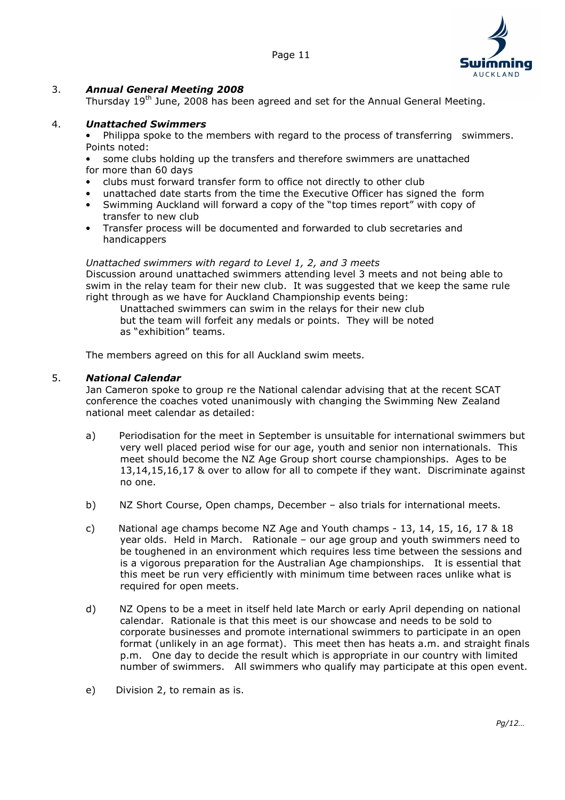

## 3. Annual General Meeting 2008

Thursday 19<sup>th</sup> June, 2008 has been agreed and set for the Annual General Meeting.

#### 4. Unattached Swimmers

- Philippa spoke to the members with regard to the process of transferring swimmers. Points noted:
- some clubs holding up the transfers and therefore swimmers are unattached for more than 60 days
- clubs must forward transfer form to office not directly to other club
- unattached date starts from the time the Executive Officer has signed the form
- Swimming Auckland will forward a copy of the "top times report" with copy of transfer to new club
- Transfer process will be documented and forwarded to club secretaries and handicappers

#### Unattached swimmers with regard to Level 1, 2, and 3 meets

 Discussion around unattached swimmers attending level 3 meets and not being able to swim in the relay team for their new club. It was suggested that we keep the same rule right through as we have for Auckland Championship events being:

 Unattached swimmers can swim in the relays for their new club but the team will forfeit any medals or points. They will be noted as "exhibition" teams.

The members agreed on this for all Auckland swim meets.

#### 5. National Calendar

 Jan Cameron spoke to group re the National calendar advising that at the recent SCAT conference the coaches voted unanimously with changing the Swimming New Zealand national meet calendar as detailed:

- a) Periodisation for the meet in September is unsuitable for international swimmers but very well placed period wise for our age, youth and senior non internationals. This meet should become the NZ Age Group short course championships. Ages to be 13,14,15,16,17 & over to allow for all to compete if they want. Discriminate against no one.
- b) NZ Short Course, Open champs, December also trials for international meets.
- c) National age champs become NZ Age and Youth champs 13, 14, 15, 16, 17 & 18 year olds. Held in March. Rationale – our age group and youth swimmers need to be toughened in an environment which requires less time between the sessions and is a vigorous preparation for the Australian Age championships. It is essential that this meet be run very efficiently with minimum time between races unlike what is required for open meets.
- d) NZ Opens to be a meet in itself held late March or early April depending on national calendar. Rationale is that this meet is our showcase and needs to be sold to corporate businesses and promote international swimmers to participate in an open format (unlikely in an age format). This meet then has heats a.m. and straight finals p.m. One day to decide the result which is appropriate in our country with limited number of swimmers. All swimmers who qualify may participate at this open event.
- e) Division 2, to remain as is.